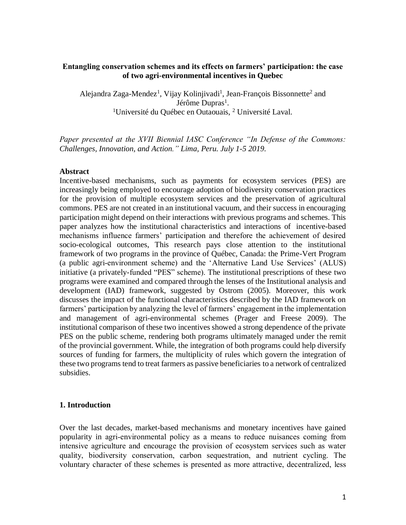#### **Entangling conservation schemes and its effects on farmers' participation: the case of two agri-environmental incentives in Quebec**

Alejandra Zaga-Mendez<sup>1</sup>, Vijay Kolinjivadi<sup>1</sup>, Jean-François Bissonnette<sup>2</sup> and Jérôme Dupras<sup>1</sup>. <sup>1</sup>Université du Québec en Outaouais, <sup>2</sup> Université Laval.

*Paper presented at the XVII Biennial IASC Conference "In Defense of the Commons: Challenges, Innovation, and Action." Lima, Peru. July 1-5 2019.* 

#### **Abstract**

Incentive-based mechanisms, such as payments for ecosystem services (PES) are increasingly being employed to encourage adoption of biodiversity conservation practices for the provision of multiple ecosystem services and the preservation of agricultural commons. PES are not created in an institutional vacuum, and their success in encouraging participation might depend on their interactions with previous programs and schemes. This paper analyzes how the institutional characteristics and interactions of incentive-based mechanisms influence farmers' participation and therefore the achievement of desired socio-ecological outcomes, This research pays close attention to the institutional framework of two programs in the province of Québec, Canada: the Prime-Vert Program (a public agri-environment scheme) and the 'Alternative Land Use Services' (ALUS) initiative (a privately-funded "PES" scheme). The institutional prescriptions of these two programs were examined and compared through the lenses of the Institutional analysis and development (IAD) framework, suggested by Ostrom (2005). Moreover, this work discusses the impact of the functional characteristics described by the IAD framework on farmers' participation by analyzing the level of farmers' engagement in the implementation and management of agri-environmental schemes (Prager and Freese 2009). The institutional comparison of these two incentives showed a strong dependence of the private PES on the public scheme, rendering both programs ultimately managed under the remit of the provincial government. While, the integration of both programs could help diversify sources of funding for farmers, the multiplicity of rules which govern the integration of these two programs tend to treat farmers as passive beneficiaries to a network of centralized subsidies.

#### **1. Introduction**

Over the last decades, market-based mechanisms and monetary incentives have gained popularity in agri-environmental policy as a means to reduce nuisances coming from intensive agriculture and encourage the provision of ecosystem services such as water quality, biodiversity conservation, carbon sequestration, and nutrient cycling. The voluntary character of these schemes is presented as more attractive, decentralized, less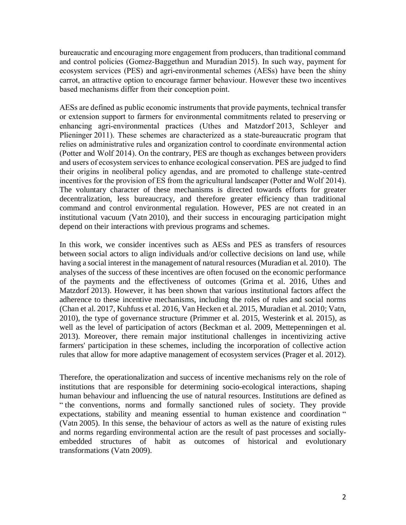bureaucratic and encouraging more engagement from producers, than traditional command and control policies (Gomez-Baggethun and Muradian 2015). In such way, payment for ecosystem services (PES) and agri-environmental schemes (AESs) have been the shiny carrot, an attractive option to encourage farmer behaviour. However these two incentives based mechanisms differ from their conception point.

AESs are defined as public economic instruments that provide payments, technical transfer or extension support to farmers for environmental commitments related to preserving or enhancing agri-environmental practices (Uthes and Matzdorf 2013, Schleyer and Plieninger 2011). These schemes are characterized as a state-bureaucratic program that relies on administrative rules and organization control to coordinate environmental action (Potter and Wolf 2014). On the contrary, PES are though as exchanges between providers and users of ecosystem services to enhance ecological conservation. PES are judged to find their origins in neoliberal policy agendas, and are promoted to challenge state-centred incentives for the provision of ES from the agricultural landscaper (Potter and Wolf 2014). The voluntary character of these mechanisms is directed towards efforts for greater decentralization, less bureaucracy, and therefore greater efficiency than traditional command and control environmental regulation. However, PES are not created in an institutional vacuum (Vatn 2010), and their success in encouraging participation might depend on their interactions with previous programs and schemes.

In this work, we consider incentives such as AESs and PES as transfers of resources between social actors to align individuals and/or collective decisions on land use, while having a social interest in the management of natural resources (Muradian et al. 2010). The analyses of the success of these incentives are often focused on the economic performance of the payments and the effectiveness of outcomes (Grima et al. 2016, Uthes and Matzdorf 2013). However, it has been shown that various institutional factors affect the adherence to these incentive mechanisms, including the roles of rules and social norms (Chan et al. 2017, Kuhfuss et al. 2016, Van Hecken et al. 2015, Muradian et al. 2010; Vatn, 2010), the type of governance structure (Primmer et al. 2015, Westerink et al. 2015), as well as the level of participation of actors (Beckman et al. 2009, Mettepenningen et al. 2013). Moreover, there remain major institutional challenges in incentivizing active farmers' participation in these schemes, including the incorporation of collective action rules that allow for more adaptive management of ecosystem services (Prager et al. 2012).

Therefore, the operationalization and success of incentive mechanisms rely on the role of institutions that are responsible for determining socio-ecological interactions, shaping human behaviour and influencing the use of natural resources. Institutions are defined as " the conventions, norms and formally sanctioned rules of society. They provide expectations, stability and meaning essential to human existence and coordination " (Vatn 2005). In this sense, the behaviour of actors as well as the nature of existing rules and norms regarding environmental action are the result of past processes and sociallyembedded structures of habit as outcomes of historical and evolutionary transformations (Vatn 2009).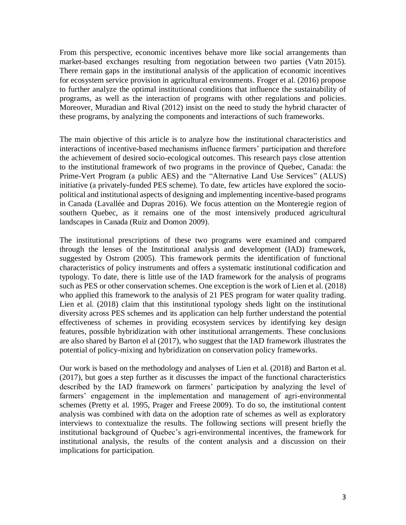From this perspective, economic incentives behave more like social arrangements than market-based exchanges resulting from negotiation between two parties (Vatn 2015). There remain gaps in the institutional analysis of the application of economic incentives for ecosystem service provision in agricultural environments. Froger et al. (2016) propose to further analyze the optimal institutional conditions that influence the sustainability of programs, as well as the interaction of programs with other regulations and policies. Moreover, Muradian and Rival (2012) insist on the need to study the hybrid character of these programs, by analyzing the components and interactions of such frameworks.

The main objective of this article is to analyze how the institutional characteristics and interactions of incentive-based mechanisms influence farmers' participation and therefore the achievement of desired socio-ecological outcomes. This research pays close attention to the institutional framework of two programs in the province of Quebec, Canada: the Prime-Vert Program (a public AES) and the "Alternative Land Use Services" (ALUS) initiative (a privately-funded PES scheme). To date, few articles have explored the sociopolitical and institutional aspects of designing and implementing incentive-based programs in Canada (Lavallée and Dupras 2016). We focus attention on the Monteregie region of southern Quebec, as it remains one of the most intensively produced agricultural landscapes in Canada (Ruiz and Domon 2009).

The institutional prescriptions of these two programs were examined and compared through the lenses of the Institutional analysis and development (IAD) framework, suggested by Ostrom (2005). This framework permits the identification of functional characteristics of policy instruments and offers a systematic institutional codification and typology. To date, there is little use of the IAD framework for the analysis of programs such as PES or other conservation schemes. One exception is the work of Lien et al. (2018) who applied this framework to the analysis of 21 PES program for water quality trading. Lien et al. (2018) claim that this institutional typology sheds light on the institutional diversity across PES schemes and its application can help further understand the potential effectiveness of schemes in providing ecosystem services by identifying key design features, possible hybridization with other institutional arrangements. These conclusions are also shared by Barton el al (2017), who suggest that the IAD framework illustrates the potential of policy-mixing and hybridization on conservation policy frameworks.

Our work is based on the methodology and analyses of Lien et al. (2018) and Barton et al. (2017), but goes a step further as it discusses the impact of the functional characteristics described by the IAD framework on farmers' participation by analyzing the level of farmers' engagement in the implementation and management of agri-environmental schemes (Pretty et al. 1995, Prager and Freese 2009). To do so, the institutional content analysis was combined with data on the adoption rate of schemes as well as exploratory interviews to contextualize the results. The following sections will present briefly the institutional background of Quebec's agri-environmental incentives, the framework for institutional analysis, the results of the content analysis and a discussion on their implications for participation.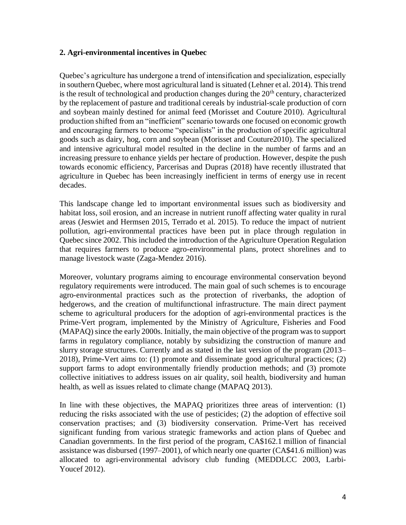## **2. Agri-environmental incentives in Quebec**

Quebec's agriculture has undergone a trend of intensification and specialization, especially in southern Quebec, where most agricultural land is situated (Lehner et al. 2014). This trend is the result of technological and production changes during the  $20<sup>th</sup>$  century, characterized by the replacement of pasture and traditional cereals by industrial-scale production of corn and soybean mainly destined for animal feed (Morisset and Couture 2010). Agricultural production shifted from an "inefficient" scenario towards one focused on economic growth and encouraging farmers to become "specialists" in the production of specific agricultural goods such as dairy, hog, corn and soybean (Morisset and Couture2010). The specialized and intensive agricultural model resulted in the decline in the number of farms and an increasing pressure to enhance yields per hectare of production. However, despite the push towards economic efficiency, Parcerisas and Dupras (2018) have recently illustrated that agriculture in Quebec has been increasingly inefficient in terms of energy use in recent decades.

This landscape change led to important environmental issues such as biodiversity and habitat loss, soil erosion, and an increase in nutrient runoff affecting water quality in rural areas (Jeswiet and Hermsen 2015, Terrado et al. 2015). To reduce the impact of nutrient pollution, agri-environmental practices have been put in place through regulation in Quebec since 2002. This included the introduction of the Agriculture Operation Regulation that requires farmers to produce agro-environmental plans, protect shorelines and to manage livestock waste (Zaga-Mendez 2016).

Moreover, voluntary programs aiming to encourage environmental conservation beyond regulatory requirements were introduced. The main goal of such schemes is to encourage agro-environmental practices such as the protection of riverbanks, the adoption of hedgerows, and the creation of multifunctional infrastructure. The main direct payment scheme to agricultural producers for the adoption of agri-environmental practices is the Prime-Vert program, implemented by the Ministry of Agriculture, Fisheries and Food (MAPAQ) since the early 2000s. Initially, the main objective of the program was to support farms in regulatory compliance, notably by subsidizing the construction of manure and slurry storage structures. Currently and as stated in the last version of the program (2013– 2018), Prime-Vert aims to: (1) promote and disseminate good agricultural practices; (2) support farms to adopt environmentally friendly production methods; and (3) promote collective initiatives to address issues on air quality, soil health, biodiversity and human health, as well as issues related to climate change (MAPAQ 2013).

In line with these objectives, the MAPAQ prioritizes three areas of intervention: (1) reducing the risks associated with the use of pesticides; (2) the adoption of effective soil conservation practises; and (3) biodiversity conservation. Prime-Vert has received significant funding from various strategic frameworks and action plans of Quebec and Canadian governments. In the first period of the program, CA\$162.1 million of financial assistance was disbursed (1997–2001), of which nearly one quarter (CA\$41.6 million) was allocated to agri-environmental advisory club funding (MEDDLCC 2003, Larbi-Youcef 2012).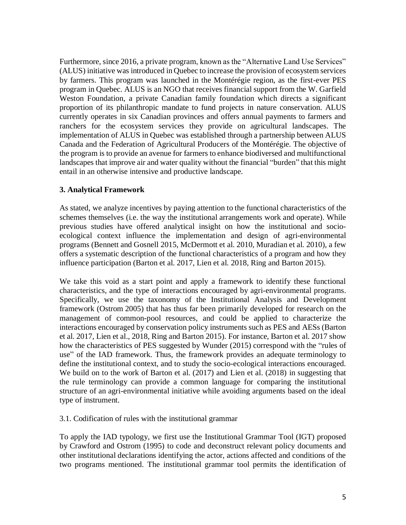Furthermore, since 2016, a private program, known as the "Alternative Land Use Services" (ALUS) initiative was introduced in Quebec to increase the provision of ecosystem services by farmers. This program was launched in the Montérégie region, as the first-ever PES program in Quebec. ALUS is an NGO that receives financial support from the W. Garfield Weston Foundation, a private Canadian family foundation which directs a significant proportion of its philanthropic mandate to fund projects in nature conservation. ALUS currently operates in six Canadian provinces and offers annual payments to farmers and ranchers for the ecosystem services they provide on agricultural landscapes. The implementation of ALUS in Quebec was established through a partnership between ALUS Canada and the Federation of Agricultural Producers of the Montérégie. The objective of the program is to provide an avenue for farmers to enhance biodiversed and multifunctional landscapes that improve air and water quality without the financial "burden" that this might entail in an otherwise intensive and productive landscape.

# **3. Analytical Framework**

As stated, we analyze incentives by paying attention to the functional characteristics of the schemes themselves (i.e. the way the institutional arrangements work and operate). While previous studies have offered analytical insight on how the institutional and socioecological context influence the implementation and design of agri-environmental programs (Bennett and Gosnell 2015, McDermott et al. 2010, Muradian et al. 2010), a few offers a systematic description of the functional characteristics of a program and how they influence participation (Barton et al. 2017, Lien et al. 2018, Ring and Barton 2015).

We take this void as a start point and apply a framework to identify these functional characteristics, and the type of interactions encouraged by agri-environmental programs. Specifically, we use the taxonomy of the Institutional Analysis and Development framework (Ostrom 2005) that has thus far been primarily developed for research on the management of common-pool resources, and could be applied to characterize the interactions encouraged by conservation policy instruments such as PES and AESs (Barton et al. 2017, Lien et al., 2018, Ring and Barton 2015). For instance, Barton et al. 2017 show how the characteristics of PES suggested by Wunder (2015) correspond with the "rules of use" of the IAD framework. Thus, the framework provides an adequate terminology to define the institutional context, and to study the socio-ecological interactions encouraged. We build on to the work of Barton et al. (2017) and Lien et al. (2018) in suggesting that the rule terminology can provide a common language for comparing the institutional structure of an agri-environmental initiative while avoiding arguments based on the ideal type of instrument.

3.1. Codification of rules with the institutional grammar

To apply the IAD typology, we first use the Institutional Grammar Tool (IGT) proposed by Crawford and Ostrom (1995) to code and deconstruct relevant policy documents and other institutional declarations identifying the actor, actions affected and conditions of the two programs mentioned. The institutional grammar tool permits the identification of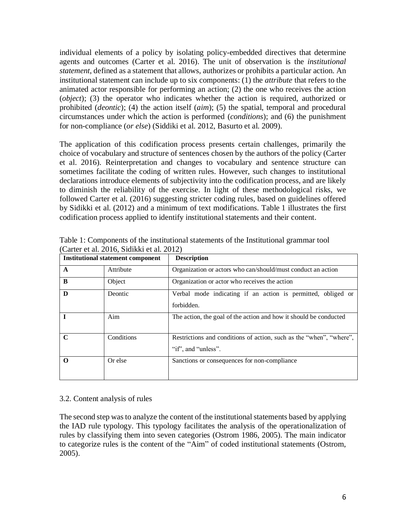individual elements of a policy by isolating policy-embedded directives that determine agents and outcomes (Carter et al. 2016). The unit of observation is the *institutional statement*, defined as a statement that allows, authorizes or prohibits a particular action. An institutional statement can include up to six components: (1) the *attribute* that refers to the animated actor responsible for performing an action; (2) the one who receives the action (*object*); (3) the operator who indicates whether the action is required, authorized or prohibited (*deontic*); (4) the action itself (*aim*); (5) the spatial, temporal and procedural circumstances under which the action is performed (*conditions*); and (6) the punishment for non-compliance (*or else*) (Siddiki et al. 2012, Basurto et al. 2009).

The application of this codification process presents certain challenges, primarily the choice of vocabulary and structure of sentences chosen by the authors of the policy (Carter et al. 2016). Reinterpretation and changes to vocabulary and sentence structure can sometimes facilitate the coding of written rules. However, such changes to institutional declarations introduce elements of subjectivity into the codification process, and are likely to diminish the reliability of the exercise. In light of these methodological risks, we followed Carter et al. (2016) suggesting stricter coding rules, based on guidelines offered by Sidikki et al. (2012) and a minimum of text modifications. Table 1 illustrates the first codification process applied to identify institutional statements and their content.

| <b>Institutional statement component</b> |            | <b>Description</b>                                                                         |
|------------------------------------------|------------|--------------------------------------------------------------------------------------------|
| A                                        | Attribute  | Organization or actors who can/should/must conduct an action                               |
| B                                        | Object     | Organization or actor who receives the action                                              |
| D                                        | Deontic    | Verbal mode indicating if an action is permitted, obliged or<br>forbidden.                 |
|                                          | Aim        | The action, the goal of the action and how it should be conducted                          |
| $\mathbf C$                              | Conditions | Restrictions and conditions of action, such as the "when", "where",<br>"if", and "unless". |
| O                                        | Or else    | Sanctions or consequences for non-compliance                                               |

Table 1: Components of the institutional statements of the Institutional grammar tool (Carter et al. 2016, Sidikki et al. 2012)

## 3.2. Content analysis of rules

The second step was to analyze the content of the institutional statements based by applying the IAD rule typology. This typology facilitates the analysis of the operationalization of rules by classifying them into seven categories (Ostrom 1986, 2005). The main indicator to categorize rules is the content of the "Aim" of coded institutional statements (Ostrom, 2005).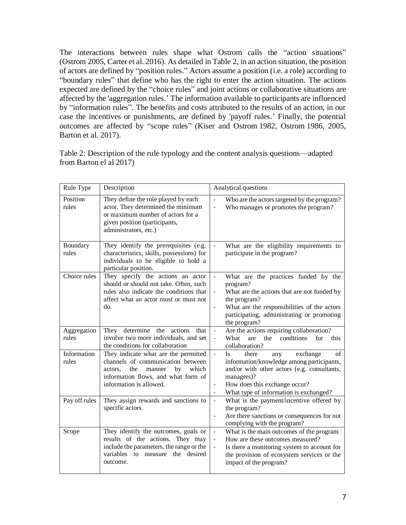The interactions between rules shape what Ostrom calls the "action situations" (Ostrom 2005, Carter et al. 2016). As detailed in Table 2, in an action situation, the position of actors are defined by "position rules." Actors assume a position (i.e. a role) according to "boundary rules" that define who has the right to enter the action situation. The actions expected are defined by the "choice rules" and joint actions or collaborative situations are affected by the 'aggregation rules.' The information available to participants are influenced by "information rules". The benefits and costs attributed to the results of an action, in our case the incentives or punishments, are defined by 'payoff rules.' Finally, the potential outcomes are affected by "scope rules" (Kiser and Ostrom 1982, Ostrom 1986, 2005, Barton et al. 2017).

Table 2: Description of the rule typology and the content analysis questions—adapted from Barton el al 2017)

| Rule Type            | Description                                                                                                                                                                            | Analytical questions                                                                                                                                                                                                                                                                                           |  |
|----------------------|----------------------------------------------------------------------------------------------------------------------------------------------------------------------------------------|----------------------------------------------------------------------------------------------------------------------------------------------------------------------------------------------------------------------------------------------------------------------------------------------------------------|--|
| Position<br>rules    | They define the role played by each<br>actor. They determined the minimum<br>or maximum number of actors for a<br>given position (participants,<br>administrators, etc.)               | Who are the actors targeted by the program?<br>$\overline{a}$<br>Who manages or promotes the program?<br>$\frac{1}{2}$                                                                                                                                                                                         |  |
| Boundary<br>rules    | They identify the prerequisites (e.g.<br>characteristics, skills, possessions) for<br>individuals to be eligible to hold a<br>particular position.                                     | What are the eligibility requirements to<br>participate in the program?                                                                                                                                                                                                                                        |  |
| Choice rules         | They specify the actions an actor<br>should or should not take. Often, such<br>rules also indicate the conditions that<br>affect what an actor must or must not<br>do.                 | What are the practices funded by the<br>$\blacksquare$<br>program?<br>What are the actions that are not funded by<br>the program?<br>What are the responsibilities of the actors<br>$\blacksquare$<br>participating, administrating or promoting<br>the program?                                               |  |
| Aggregation<br>rules | They determine the actions<br>that<br>involve two more individuals, and set<br>the conditions for collaboration                                                                        | Are the actions requiring collaboration?<br>the<br>conditions<br>for<br>What<br>are<br>this<br>collaboration?                                                                                                                                                                                                  |  |
| Information<br>rules | They indicate what are the permitted<br>channels of communication between<br>the<br>which<br>manner<br>by<br>actors.<br>information flows, and what form of<br>information is allowed. | <b>Is</b><br>exchange<br>$\sigma$ f<br>there<br>$\Box$<br>any<br>information/knowledge among participants,<br>and/or with other actors (e.g. consultants,<br>managers)?<br>How does this exchange occur?<br>$\qquad \qquad \blacksquare$<br>What type of information is exchanged?<br>$\overline{\phantom{a}}$ |  |
| Pay off rules        | They assign rewards and sanctions to<br>specific actors.                                                                                                                               | What is the payment/incentive offered by<br>$\blacksquare$<br>the program?<br>Are there sanctions or consequences for not<br>$\qquad \qquad \blacksquare$<br>complying with the program?                                                                                                                       |  |
| Scope                | They identify the outcomes, goals or<br>results of the actions.<br>They may<br>include the parameters, the range or the<br>variables to measure the<br>desired<br>outcome.             | What is the main outcomes of the program<br>$\blacksquare$<br>How are these outcomes measured?<br>Is there a monitoring system to account for<br>the provision of ecosystem services or the<br>impact of the program?                                                                                          |  |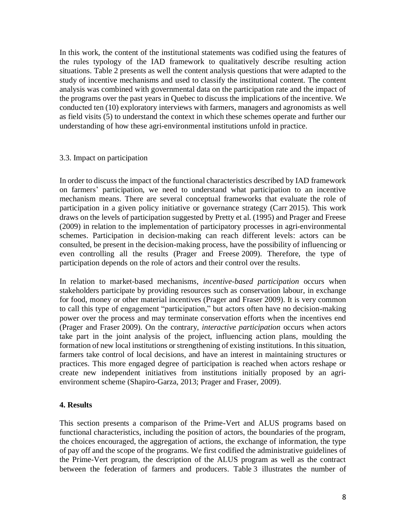In this work, the content of the institutional statements was codified using the features of the rules typology of the IAD framework to qualitatively describe resulting action situations. Table 2 presents as well the content analysis questions that were adapted to the study of incentive mechanisms and used to classify the institutional content. The content analysis was combined with governmental data on the participation rate and the impact of the programs over the past years in Quebec to discuss the implications of the incentive. We conducted ten (10) exploratory interviews with farmers, managers and agronomists as well as field visits (5) to understand the context in which these schemes operate and further our understanding of how these agri-environmental institutions unfold in practice.

## 3.3. Impact on participation

In order to discuss the impact of the functional characteristics described by IAD framework on farmers' participation, we need to understand what participation to an incentive mechanism means. There are several conceptual frameworks that evaluate the role of participation in a given policy initiative or governance strategy (Carr 2015). This work draws on the levels of participation suggested by Pretty et al. (1995) and Prager and Freese (2009) in relation to the implementation of participatory processes in agri-environmental schemes. Participation in decision-making can reach different levels: actors can be consulted, be present in the decision-making process, have the possibility of influencing or even controlling all the results (Prager and Freese 2009). Therefore, the type of participation depends on the role of actors and their control over the results.

In relation to market-based mechanisms, *incentive-based participation* occurs when stakeholders participate by providing resources such as conservation labour, in exchange for food, money or other material incentives (Prager and Fraser 2009). It is very common to call this type of engagement "participation," but actors often have no decision-making power over the process and may terminate conservation efforts when the incentives end (Prager and Fraser 2009). On the contrary, *interactive participation* occurs when actors take part in the joint analysis of the project, influencing action plans, moulding the formation of new local institutions or strengthening of existing institutions. In this situation, farmers take control of local decisions, and have an interest in maintaining structures or practices. This more engaged degree of participation is reached when actors reshape or create new independent initiatives from institutions initially proposed by an agrienvironment scheme (Shapiro-Garza, 2013; Prager and Fraser, 2009).

## **4. Results**

This section presents a comparison of the Prime-Vert and ALUS programs based on functional characteristics, including the position of actors, the boundaries of the program, the choices encouraged, the aggregation of actions, the exchange of information, the type of pay off and the scope of the programs. We first codified the administrative guidelines of the Prime-Vert program, the description of the ALUS program as well as the contract between the federation of farmers and producers. Table 3 illustrates the number of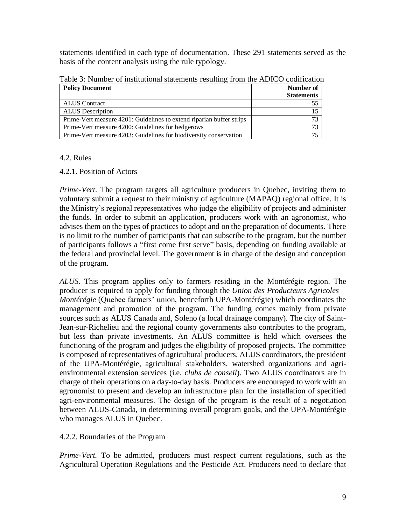statements identified in each type of documentation. These 291 statements served as the basis of the content analysis using the rule typology.

| <b>Policy Document</b>                                               | Number of         |
|----------------------------------------------------------------------|-------------------|
|                                                                      | <b>Statements</b> |
| <b>ALUS</b> Contract                                                 |                   |
| <b>ALUS</b> Description                                              |                   |
| Prime-Vert measure 4201: Guidelines to extend riparian buffer strips |                   |
| Prime-Vert measure 4200: Guidelines for hedgerows                    |                   |
| Prime-Vert measure 4203: Guidelines for biodiversity conservation    |                   |

Table 3: Number of institutional statements resulting from the ADICO codification

## 4.2. Rules

4.2.1. Position of Actors

*Prime-Vert*. The program targets all agriculture producers in Quebec, inviting them to voluntary submit a request to their ministry of agriculture (MAPAQ) regional office. It is the Ministry's regional representatives who judge the eligibility of projects and administer the funds. In order to submit an application, producers work with an agronomist, who advises them on the types of practices to adopt and on the preparation of documents. There is no limit to the number of participants that can subscribe to the program, but the number of participants follows a "first come first serve" basis, depending on funding available at the federal and provincial level. The government is in charge of the design and conception of the program.

*ALUS.* This program applies only to farmers residing in the Montérégie region. The producer is required to apply for funding through the *Union des Producteurs Agricoles— Montérégie* (Quebec farmers' union, henceforth UPA-Montérégie) which coordinates the management and promotion of the program. The funding comes mainly from private sources such as ALUS Canada and, Soleno (a local drainage company). The city of Saint-Jean-sur-Richelieu and the regional county governments also contributes to the program, but less than private investments. An ALUS committee is held which oversees the functioning of the program and judges the eligibility of proposed projects. The committee is composed of representatives of agricultural producers, ALUS coordinators, the president of the UPA-Montérégie, agricultural stakeholders, watershed organizations and agrienvironmental extension services (i.e. *clubs de conseil*). Two ALUS coordinators are in charge of their operations on a day-to-day basis. Producers are encouraged to work with an agronomist to present and develop an infrastructure plan for the installation of specified agri-environmental measures. The design of the program is the result of a negotiation between ALUS-Canada, in determining overall program goals, and the UPA-Montérégie who manages ALUS in Quebec.

# 4.2.2. Boundaries of the Program

*Prime-Vert.* To be admitted, producers must respect current regulations, such as the Agricultural Operation Regulations and the Pesticide Act. Producers need to declare that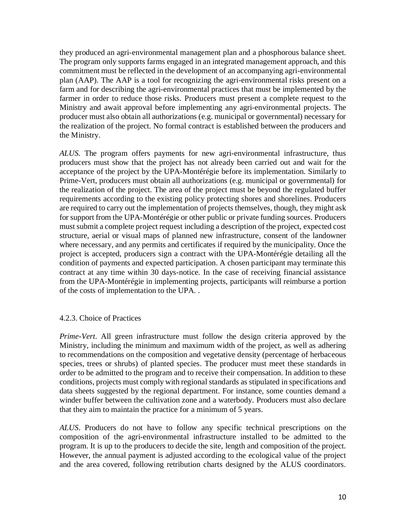they produced an agri-environmental management plan and a phosphorous balance sheet. The program only supports farms engaged in an integrated management approach, and this commitment must be reflected in the development of an accompanying agri-environmental plan (AAP). The AAP is a tool for recognizing the agri-environmental risks present on a farm and for describing the agri-environmental practices that must be implemented by the farmer in order to reduce those risks. Producers must present a complete request to the Ministry and await approval before implementing any agri-environmental projects. The producer must also obtain all authorizations (e.g. municipal or governmental) necessary for the realization of the project. No formal contract is established between the producers and the Ministry.

*ALUS.* The program offers payments for new agri-environmental infrastructure, thus producers must show that the project has not already been carried out and wait for the acceptance of the project by the UPA-Montérégie before its implementation. Similarly to Prime-Vert, producers must obtain all authorizations (e.g. municipal or governmental) for the realization of the project. The area of the project must be beyond the regulated buffer requirements according to the existing policy protecting shores and shorelines. Producers are required to carry out the implementation of projects themselves, though, they might ask for support from the UPA-Montérégie or other public or private funding sources. Producers must submit a complete project request including a description of the project, expected cost structure, aerial or visual maps of planned new infrastructure, consent of the landowner where necessary, and any permits and certificates if required by the municipality. Once the project is accepted, producers sign a contract with the UPA-Montérégie detailing all the condition of payments and expected participation. A chosen participant may terminate this contract at any time within 30 days-notice. In the case of receiving financial assistance from the UPA-Montérégie in implementing projects, participants will reimburse a portion of the costs of implementation to the UPA. .

## 4.2.3. Choice of Practices

*Prime-Vert*. All green infrastructure must follow the design criteria approved by the Ministry, including the minimum and maximum width of the project, as well as adhering to recommendations on the composition and vegetative density (percentage of herbaceous species, trees or shrubs) of planted species. The producer must meet these standards in order to be admitted to the program and to receive their compensation. In addition to these conditions, projects must comply with regional standards as stipulated in specifications and data sheets suggested by the regional department. For instance, some counties demand a winder buffer between the cultivation zone and a waterbody. Producers must also declare that they aim to maintain the practice for a minimum of 5 years.

*ALUS*. Producers do not have to follow any specific technical prescriptions on the composition of the agri-environmental infrastructure installed to be admitted to the program. It is up to the producers to decide the site, length and composition of the project. However, the annual payment is adjusted according to the ecological value of the project and the area covered, following retribution charts designed by the ALUS coordinators.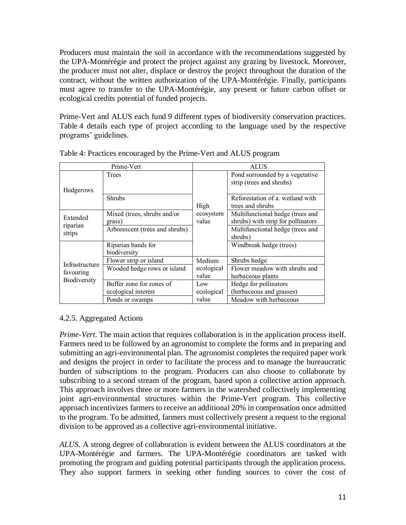Producers must maintain the soil in accordance with the recommendations suggested by the UPA-Montérégie and protect the project against any grazing by livestock. Moreover, the producer must not alter, displace or destroy the project throughout the duration of the contract, without the written authorization of the UPA-Montérégie. Finally, participants must agree to transfer to the UPA-Montérégie, any present or future carbon offset or ecological credits potential of funded projects.

Prime-Vert and ALUS each fund 9 different types of biodiversity conservation practices. Table 4 details each type of project according to the language used by the respective programs' guidelines.

| Prime-Vert                                  |                                                 | <b>ALUS</b>         |                                                                        |  |
|---------------------------------------------|-------------------------------------------------|---------------------|------------------------------------------------------------------------|--|
| <b>Hedgerows</b>                            | Trees                                           |                     | Pond surrounded by a vegetative<br>strip (trees and shrubs)            |  |
| Extended                                    | <b>Shrubs</b>                                   | High                | Reforestation of a wetland with<br>trees and shrubs                    |  |
|                                             | Mixed (trees, shrubs and/or<br>grass)           | ecosystem<br>value  | Multifunctional hedge (trees and<br>shrubs) with strip for pollinators |  |
| riparian<br>strips                          | Arborescent (trees and shrubs)                  |                     | Multifunctional hedge (trees and<br>shrubs)                            |  |
|                                             | Riparian bands for<br>biodiversity              |                     | Windbreak hedge (trees)                                                |  |
| Infrastructure<br>favouring<br>Biodiversity | Flower strip or island                          | Medium              | Shrubs hedge                                                           |  |
|                                             | Wooded hedge rows or island                     | ecological<br>value | Flower meadow with shrubs and<br>herbaceous plants                     |  |
|                                             | Buffer zone for zones of<br>ecological interest | Low<br>ecological   | Hedge for pollinators<br>(herbaceous and grasses)                      |  |
|                                             | Ponds or swamps                                 | value               | Meadow with herbaceous                                                 |  |

Table 4: Practices encouraged by the Prime-Vert and ALUS program

# 4.2.5. Aggregated Actions

*Prime-Vert*. The main action that requires collaboration is in the application process itself. Farmers need to be followed by an agronomist to complete the forms and in preparing and submitting an agri-environmental plan. The agronomist completes the required paper work and designs the project in order to facilitate the process and to manage the bureaucratic burden of subscriptions to the program. Producers can also choose to collaborate by subscribing to a second stream of the program, based upon a collective action approach. This approach involves three or more farmers in the watershed collectively implementing joint agri-environmental structures within the Prime-Vert program. This collective approach incentivizes farmers to receive an additional 20% in compensation once admitted to the program. To be admitted, farmers must collectively present a request to the regional division to be approved as a collective agri-environmental initiative.

*ALUS.* A strong degree of collaboration is evident between the ALUS coordinators at the UPA-Montérégie and farmers. The UPA-Montérégie coordinators are tasked with promoting the program and guiding potential participants through the application process. They also support farmers in seeking other funding sources to cover the cost of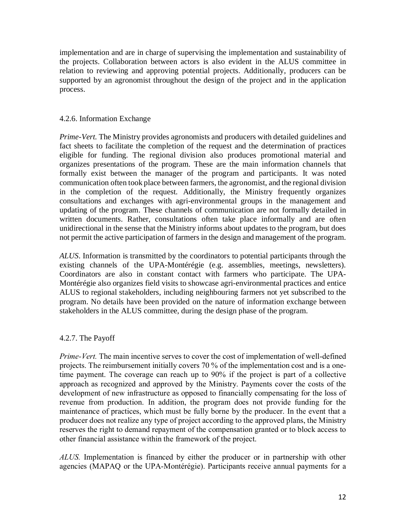implementation and are in charge of supervising the implementation and sustainability of the projects. Collaboration between actors is also evident in the ALUS committee in relation to reviewing and approving potential projects. Additionally, producers can be supported by an agronomist throughout the design of the project and in the application process.

## 4.2.6. Information Exchange

*Prime-Vert.* The Ministry provides agronomists and producers with detailed guidelines and fact sheets to facilitate the completion of the request and the determination of practices eligible for funding. The regional division also produces promotional material and organizes presentations of the program. These are the main information channels that formally exist between the manager of the program and participants. It was noted communication often took place between farmers, the agronomist, and the regional division in the completion of the request. Additionally, the Ministry frequently organizes consultations and exchanges with agri-environmental groups in the management and updating of the program. These channels of communication are not formally detailed in written documents. Rather, consultations often take place informally and are often unidirectional in the sense that the Ministry informs about updates to the program, but does not permit the active participation of farmers in the design and management of the program.

*ALUS*. Information is transmitted by the coordinators to potential participants through the existing channels of the UPA-Montérégie (e.g. assemblies, meetings, newsletters). Coordinators are also in constant contact with farmers who participate. The UPA-Montérégie also organizes field visits to showcase agri-environmental practices and entice ALUS to regional stakeholders, including neighbouring farmers not yet subscribed to the program. No details have been provided on the nature of information exchange between stakeholders in the ALUS committee, during the design phase of the program.

# 4.2.7. The Payoff

*Prime-Vert.* The main incentive serves to cover the cost of implementation of well-defined projects. The reimbursement initially covers 70 % of the implementation cost and is a onetime payment. The coverage can reach up to 90% if the project is part of a collective approach as recognized and approved by the Ministry. Payments cover the costs of the development of new infrastructure as opposed to financially compensating for the loss of revenue from production. In addition, the program does not provide funding for the maintenance of practices, which must be fully borne by the producer. In the event that a producer does not realize any type of project according to the approved plans, the Ministry reserves the right to demand repayment of the compensation granted or to block access to other financial assistance within the framework of the project.

*ALUS.* Implementation is financed by either the producer or in partnership with other agencies (MAPAQ or the UPA-Montérégie). Participants receive annual payments for a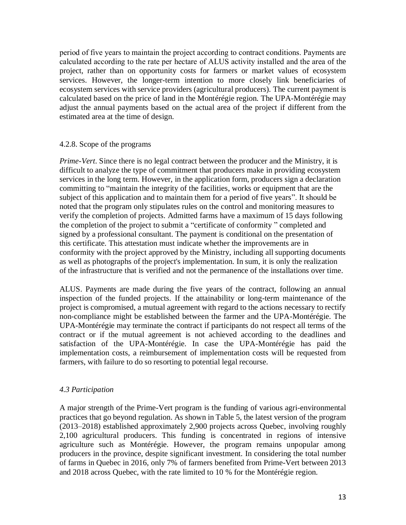period of five years to maintain the project according to contract conditions. Payments are calculated according to the rate per hectare of ALUS activity installed and the area of the project, rather than on opportunity costs for farmers or market values of ecosystem services. However, the longer-term intention to more closely link beneficiaries of ecosystem services with service providers (agricultural producers). The current payment is calculated based on the price of land in the Montérégie region. The UPA-Montérégie may adjust the annual payments based on the actual area of the project if different from the estimated area at the time of design.

## 4.2.8. Scope of the programs

*Prime-Vert*. Since there is no legal contract between the producer and the Ministry, it is difficult to analyze the type of commitment that producers make in providing ecosystem services in the long term. However, in the application form, producers sign a declaration committing to "maintain the integrity of the facilities, works or equipment that are the subject of this application and to maintain them for a period of five years". It should be noted that the program only stipulates rules on the control and monitoring measures to verify the completion of projects. Admitted farms have a maximum of 15 days following the completion of the project to submit a "certificate of conformity " completed and signed by a professional consultant. The payment is conditional on the presentation of this certificate. This attestation must indicate whether the improvements are in conformity with the project approved by the Ministry, including all supporting documents as well as photographs of the project's implementation. In sum, it is only the realization of the infrastructure that is verified and not the permanence of the installations over time.

ALUS. Payments are made during the five years of the contract, following an annual inspection of the funded projects. If the attainability or long-term maintenance of the project is compromised, a mutual agreement with regard to the actions necessary to rectify non-compliance might be established between the farmer and the UPA-Montérégie. The UPA-Montérégie may terminate the contract if participants do not respect all terms of the contract or if the mutual agreement is not achieved according to the deadlines and satisfaction of the UPA-Montérégie. In case the UPA-Montérégie has paid the implementation costs, a reimbursement of implementation costs will be requested from farmers, with failure to do so resorting to potential legal recourse.

# *4.3 Participation*

A major strength of the Prime-Vert program is the funding of various agri-environmental practices that go beyond regulation. As shown in Table 5, the latest version of the program (2013–2018) established approximately 2,900 projects across Quebec, involving roughly 2,100 agricultural producers. This funding is concentrated in regions of intensive agriculture such as Montérégie. However, the program remains unpopular among producers in the province, despite significant investment. In considering the total number of farms in Quebec in 2016, only 7% of farmers benefited from Prime-Vert between 2013 and 2018 across Quebec, with the rate limited to 10 % for the Montérégie region.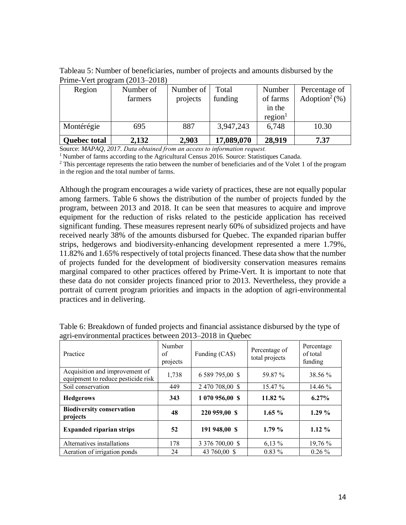Tableau 5: Number of beneficiaries, number of projects and amounts disbursed by the Prime-Vert program (2013–2018)

| Region              | Number of<br>farmers | Number of<br>projects | Total<br>funding | Number<br>of farms            | Percentage of<br>Adoption <sup>2</sup> $(\%)$ |
|---------------------|----------------------|-----------------------|------------------|-------------------------------|-----------------------------------------------|
|                     |                      |                       |                  | in the<br>region <sup>1</sup> |                                               |
| Montérégie          | 695                  | 887                   | 3,947,243        | 6,748                         | 10.30                                         |
| <b>Quebec total</b> | 2,132                | 2,903                 | 17,089,070       | 28,919                        | 7.37                                          |

Source: *MAPAQ, 2017. Data obtained from an access to information request.*

<sup>1</sup> Number of farms according to the Agricultural Census 2016. Source: Statistiques Canada.

<sup>2</sup> This percentage represents the ratio between the number of beneficiaries and of the Volet 1 of the program in the region and the total number of farms.

Although the program encourages a wide variety of practices, these are not equally popular among farmers. Table 6 shows the distribution of the number of projects funded by the program, between 2013 and 2018. It can be seen that measures to acquire and improve equipment for the reduction of risks related to the pesticide application has received significant funding. These measures represent nearly 60% of subsidized projects and have received nearly 38% of the amounts disbursed for Quebec. The expanded riparian buffer strips, hedgerows and biodiversity-enhancing development represented a mere 1.79%, 11.82% and 1.65% respectively of total projects financed. These data show that the number of projects funded for the development of biodiversity conservation measures remains marginal compared to other practices offered by Prime-Vert. It is important to note that these data do not consider projects financed prior to 2013. Nevertheless, they provide a portrait of current program priorities and impacts in the adoption of agri-environmental practices and in delivering.

| Practice                                                             | Number<br>of<br>projects | Funding (CA\$)  | Percentage of<br>total projects | Percentage<br>of total<br>funding |
|----------------------------------------------------------------------|--------------------------|-----------------|---------------------------------|-----------------------------------|
| Acquisition and improvement of<br>equipment to reduce pesticide risk | 1,738                    | 6 589 795,00 \$ | 59.87 %                         | 38.56 %                           |
| Soil conservation                                                    | 449                      | 2 470 708,00 \$ | $15.47\%$                       | $14.46\%$                         |
| <b>Hedgerows</b>                                                     | 343                      | 1 070 956,00 \$ | 11.82 %                         | $6.27\%$                          |
| <b>Biodiversity conservation</b><br>projects                         | 48                       | 220 959,00 \$   | $1.65\%$                        | $1.29\%$                          |
| <b>Expanded riparian strips</b>                                      | 52                       | 191 948,00 \$   | 1.79%                           | $1.12\%$                          |
| Alternatives installations                                           | 178                      | 3 376 700,00 \$ | $6,13\%$                        | 19,76 %                           |
| Aeration of irrigation ponds                                         | 24                       | 43 760,00 \$    | $0.83\%$                        | $0.26\%$                          |

Table 6: Breakdown of funded projects and financial assistance disbursed by the type of agri-environmental practices between 2013–2018 in Quebec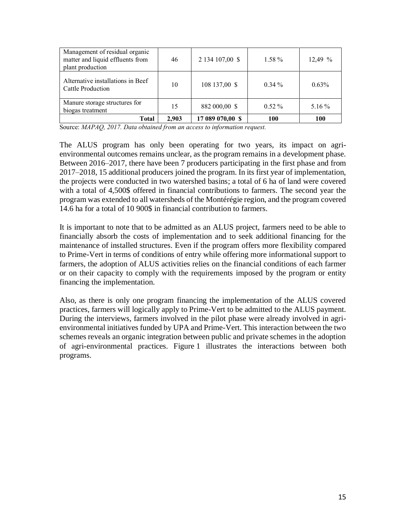| Management of residual organic<br>matter and liquid effluents from<br>plant production | 46    | 2 134 107,00 \$  | 1.58 %   | 12.49%   |
|----------------------------------------------------------------------------------------|-------|------------------|----------|----------|
| Alternative installations in Beef<br>Cattle Production                                 | 10    | 108 137,00 \$    | $0.34\%$ | $0.63\%$ |
| Manure storage structures for<br>biogas treatment                                      | 15    | 882 000,00 \$    | $0.52\%$ | 5.16 %   |
| Total                                                                                  | 2,903 | 17 089 070,00 \$ | 100      | 100      |

Source: *MAPAQ, 2017. Data obtained from an access to information request.*

The ALUS program has only been operating for two years, its impact on agrienvironmental outcomes remains unclear, as the program remains in a development phase. Between 2016–2017, there have been 7 producers participating in the first phase and from 2017–2018, 15 additional producers joined the program. In its first year of implementation, the projects were conducted in two watershed basins; a total of 6 ha of land were covered with a total of 4,500\$ offered in financial contributions to farmers. The second year the program was extended to all watersheds of the Montérégie region, and the program covered 14.6 ha for a total of 10 900\$ in financial contribution to farmers.

It is important to note that to be admitted as an ALUS project, farmers need to be able to financially absorb the costs of implementation and to seek additional financing for the maintenance of installed structures. Even if the program offers more flexibility compared to Prime-Vert in terms of conditions of entry while offering more informational support to farmers, the adoption of ALUS activities relies on the financial conditions of each farmer or on their capacity to comply with the requirements imposed by the program or entity financing the implementation.

Also, as there is only one program financing the implementation of the ALUS covered practices, farmers will logically apply to Prime-Vert to be admitted to the ALUS payment. During the interviews, farmers involved in the pilot phase were already involved in agrienvironmental initiatives funded by UPA and Prime-Vert. This interaction between the two schemes reveals an organic integration between public and private schemes in the adoption of agri-environmental practices. Figure 1 illustrates the interactions between both programs.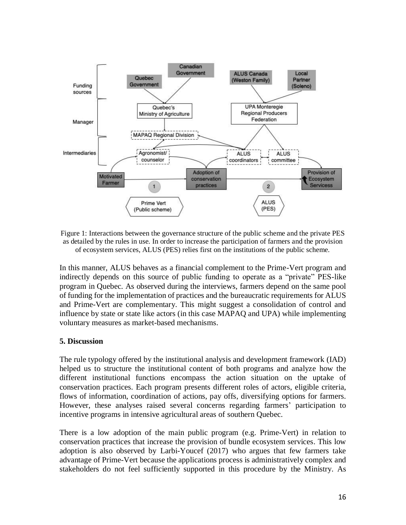

Figure 1: Interactions between the governance structure of the public scheme and the private PES as detailed by the rules in use. In order to increase the participation of farmers and the provision of ecosystem services, ALUS (PES) relies first on the institutions of the public scheme.

In this manner, ALUS behaves as a financial complement to the Prime-Vert program and indirectly depends on this source of public funding to operate as a "private" PES-like program in Quebec. As observed during the interviews, farmers depend on the same pool of funding for the implementation of practices and the bureaucratic requirements for ALUS and Prime-Vert are complementary. This might suggest a consolidation of control and influence by state or state like actors (in this case MAPAQ and UPA) while implementing voluntary measures as market-based mechanisms.

## **5. Discussion**

The rule typology offered by the institutional analysis and development framework (IAD) helped us to structure the institutional content of both programs and analyze how the different institutional functions encompass the action situation on the uptake of conservation practices. Each program presents different roles of actors, eligible criteria, flows of information, coordination of actions, pay offs, diversifying options for farmers. However, these analyses raised several concerns regarding farmers' participation to incentive programs in intensive agricultural areas of southern Quebec.

There is a low adoption of the main public program (e.g. Prime-Vert) in relation to conservation practices that increase the provision of bundle ecosystem services. This low adoption is also observed by Larbi-Youcef (2017) who argues that few farmers take advantage of Prime-Vert because the applications process is administratively complex and stakeholders do not feel sufficiently supported in this procedure by the Ministry. As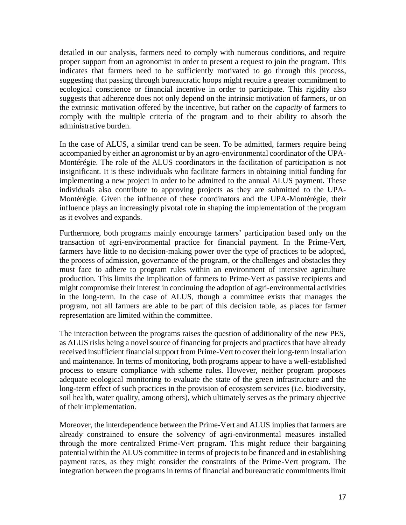detailed in our analysis, farmers need to comply with numerous conditions, and require proper support from an agronomist in order to present a request to join the program. This indicates that farmers need to be sufficiently motivated to go through this process, suggesting that passing through bureaucratic hoops might require a greater commitment to ecological conscience or financial incentive in order to participate. This rigidity also suggests that adherence does not only depend on the intrinsic motivation of farmers, or on the extrinsic motivation offered by the incentive, but rather on the *capacity* of farmers to comply with the multiple criteria of the program and to their ability to absorb the administrative burden.

In the case of ALUS, a similar trend can be seen. To be admitted, farmers require being accompanied by either an agronomist or by an agro-environmental coordinator of the UPA-Montérégie. The role of the ALUS coordinators in the facilitation of participation is not insignificant. It is these individuals who facilitate farmers in obtaining initial funding for implementing a new project in order to be admitted to the annual ALUS payment. These individuals also contribute to approving projects as they are submitted to the UPA-Montérégie. Given the influence of these coordinators and the UPA-Montérégie, their influence plays an increasingly pivotal role in shaping the implementation of the program as it evolves and expands.

Furthermore, both programs mainly encourage farmers' participation based only on the transaction of agri-environmental practice for financial payment. In the Prime-Vert, farmers have little to no decision-making power over the type of practices to be adopted, the process of admission, governance of the program, or the challenges and obstacles they must face to adhere to program rules within an environment of intensive agriculture production. This limits the implication of farmers to Prime-Vert as passive recipients and might compromise their interest in continuing the adoption of agri-environmental activities in the long-term. In the case of ALUS, though a committee exists that manages the program, not all farmers are able to be part of this decision table, as places for farmer representation are limited within the committee.

The interaction between the programs raises the question of additionality of the new PES, as ALUS risks being a novel source of financing for projects and practices that have already received insufficient financial support from Prime-Vert to cover their long-term installation and maintenance. In terms of monitoring, both programs appear to have a well-established process to ensure compliance with scheme rules. However, neither program proposes adequate ecological monitoring to evaluate the state of the green infrastructure and the long-term effect of such practices in the provision of ecosystem services (i.e. biodiversity, soil health, water quality, among others), which ultimately serves as the primary objective of their implementation.

Moreover, the interdependence between the Prime-Vert and ALUS implies that farmers are already constrained to ensure the solvency of agri-environmental measures installed through the more centralized Prime-Vert program. This might reduce their bargaining potential within the ALUS committee in terms of projects to be financed and in establishing payment rates, as they might consider the constraints of the Prime-Vert program. The integration between the programs in terms of financial and bureaucratic commitments limit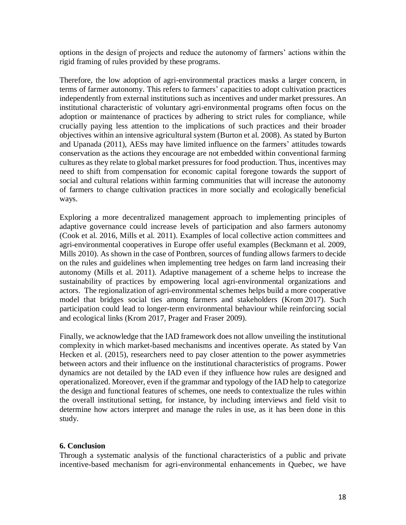options in the design of projects and reduce the autonomy of farmers' actions within the rigid framing of rules provided by these programs.

Therefore, the low adoption of agri-environmental practices masks a larger concern, in terms of farmer autonomy. This refers to farmers' capacities to adopt cultivation practices independently from external institutions such as incentives and under market pressures. An institutional characteristic of voluntary agri-environmental programs often focus on the adoption or maintenance of practices by adhering to strict rules for compliance, while crucially paying less attention to the implications of such practices and their broader objectives within an intensive agricultural system (Burton et al. 2008). As stated by Burton and Upanada (2011), AESs may have limited influence on the farmers' attitudes towards conservation as the actions they encourage are not embedded within conventional farming cultures as they relate to global market pressures for food production. Thus, incentives may need to shift from compensation for economic capital foregone towards the support of social and cultural relations within farming communities that will increase the autonomy of farmers to change cultivation practices in more socially and ecologically beneficial ways.

Exploring a more decentralized management approach to implementing principles of adaptive governance could increase levels of participation and also farmers autonomy (Cook et al. 2016, Mills et al. 2011). Examples of local collective action committees and agri-environmental cooperatives in Europe offer useful examples (Beckmann et al. 2009, Mills 2010). As shown in the case of Pontbren, sources of funding allows farmers to decide on the rules and guidelines when implementing tree hedges on farm land increasing their autonomy (Mills et al. 2011). Adaptive management of a scheme helps to increase the sustainability of practices by empowering local agri-environmental organizations and actors. The regionalization of agri-environmental schemes helps build a more cooperative model that bridges social ties among farmers and stakeholders (Krom 2017). Such participation could lead to longer-term environmental behaviour while reinforcing social and ecological links (Krom 2017, Prager and Fraser 2009).

Finally, we acknowledge that the IAD framework does not allow unveiling the institutional complexity in which market-based mechanisms and incentives operate. As stated by Van Hecken et al. (2015), researchers need to pay closer attention to the power asymmetries between actors and their influence on the institutional characteristics of programs. Power dynamics are not detailed by the IAD even if they influence how rules are designed and operationalized. Moreover, even if the grammar and typology of the IAD help to categorize the design and functional features of schemes, one needs to contextualize the rules within the overall institutional setting, for instance, by including interviews and field visit to determine how actors interpret and manage the rules in use, as it has been done in this study.

## **6. Conclusion**

Through a systematic analysis of the functional characteristics of a public and private incentive-based mechanism for agri-environmental enhancements in Quebec, we have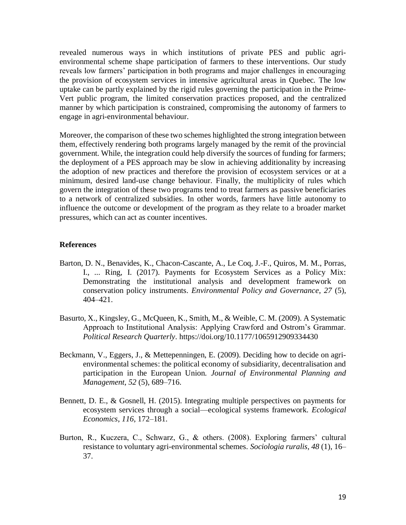revealed numerous ways in which institutions of private PES and public agrienvironmental scheme shape participation of farmers to these interventions. Our study reveals low farmers' participation in both programs and major challenges in encouraging the provision of ecosystem services in intensive agricultural areas in Quebec*.* The low uptake can be partly explained by the rigid rules governing the participation in the Prime-Vert public program, the limited conservation practices proposed, and the centralized manner by which participation is constrained, compromising the autonomy of farmers to engage in agri-environmental behaviour.

Moreover, the comparison of these two schemes highlighted the strong integration between them, effectively rendering both programs largely managed by the remit of the provincial government. While, the integration could help diversify the sources of funding for farmers; the deployment of a PES approach may be slow in achieving additionality by increasing the adoption of new practices and therefore the provision of ecosystem services or at a minimum, desired land-use change behaviour. Finally, the multiplicity of rules which govern the integration of these two programs tend to treat farmers as passive beneficiaries to a network of centralized subsidies. In other words, farmers have little autonomy to influence the outcome or development of the program as they relate to a broader market pressures, which can act as counter incentives.

#### **References**

- Barton, D. N., Benavides, K., Chacon-Cascante, A., Le Coq, J.-F., Quiros, M. M., Porras, I., ... Ring, I. (2017). Payments for Ecosystem Services as a Policy Mix: Demonstrating the institutional analysis and development framework on conservation policy instruments. *Environmental Policy and Governance*, *27* (5), 404–421.
- Basurto, X., Kingsley, G., McQueen, K., Smith, M., & Weible, C. M. (2009). A Systematic Approach to Institutional Analysis: Applying Crawford and Ostrom's Grammar. *Political Research Quarterly*. https://doi.org/10.1177/1065912909334430
- Beckmann, V., Eggers, J., & Mettepenningen, E. (2009). Deciding how to decide on agrienvironmental schemes: the political economy of subsidiarity, decentralisation and participation in the European Union. *Journal of Environmental Planning and Management*, *52* (5), 689–716.
- Bennett, D. E., & Gosnell, H. (2015). Integrating multiple perspectives on payments for ecosystem services through a social—ecological systems framework. *Ecological Economics*, *116*, 172–181.
- Burton, R., Kuczera, C., Schwarz, G., & others. (2008). Exploring farmers' cultural resistance to voluntary agri-environmental schemes. *Sociologia ruralis*, *48* (1), 16– 37.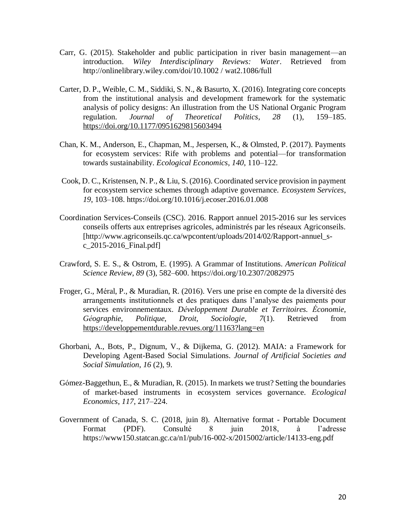- Carr, G. (2015). Stakeholder and public participation in river basin management—an introduction. *Wiley Interdisciplinary Reviews: Water*. Retrieved from http://onlinelibrary.wiley.com/doi/10.1002 / wat2.1086/full
- Carter, D. P., Weible, C. M., Siddiki, S. N., & Basurto, X. (2016). Integrating core concepts from the institutional analysis and development framework for the systematic analysis of policy designs: An illustration from the US National Organic Program regulation. *Journal of Theoretical Politics*, *28* (1), 159–185. <https://doi.org/10.1177/0951629815603494>
- Chan, K. M., Anderson, E., Chapman, M., Jespersen, K., & Olmsted, P. (2017). Payments for ecosystem services: Rife with problems and potential—for transformation towards sustainability. *Ecological Economics*, *140*, 110–122.
- Cook, D. C., Kristensen, N. P., & Liu, S. (2016). Coordinated service provision in payment for ecosystem service schemes through adaptive governance. *Ecosystem Services*, *19*, 103–108. https://doi.org/10.1016/j.ecoser.2016.01.008
- Coordination Services-Conseils (CSC). 2016. Rapport annuel 2015-2016 sur les services conseils offerts aux entreprises agricoles, administrés par les réseaux Agriconseils. [http://www.agriconseils.qc.ca/wpcontent/uploads/2014/02/Rapport-annuel\_sc\_2015-2016\_Final.pdf]
- Crawford, S. E. S., & Ostrom, E. (1995). A Grammar of Institutions. *American Political Science Review*, *89* (3), 582–600. https://doi.org/10.2307/2082975
- Froger, G., Méral, P., & Muradian, R. (2016). Vers une prise en compte de la diversité des arrangements institutionnels et des pratiques dans l'analyse des paiements pour services environnementaux. *Développement Durable et Territoires. Économie, Géographie, Politique, Droit, Sociologie*, *7*(1). Retrieved from <https://developpementdurable.revues.org/11163?lang=en>
- Ghorbani, A., Bots, P., Dignum, V., & Dijkema, G. (2012). MAIA: a Framework for Developing Agent-Based Social Simulations. *Journal of Artificial Societies and Social Simulation*, *16* (2), 9.
- Gómez-Baggethun, E., & Muradian, R. (2015). In markets we trust? Setting the boundaries of market-based instruments in ecosystem services governance. *Ecological Economics*, *117*, 217–224.
- Government of Canada, S. C. (2018, juin 8). Alternative format Portable Document Format (PDF). Consulté 8 juin 2018, à l'adresse https://www150.statcan.gc.ca/n1/pub/16-002-x/2015002/article/14133-eng.pdf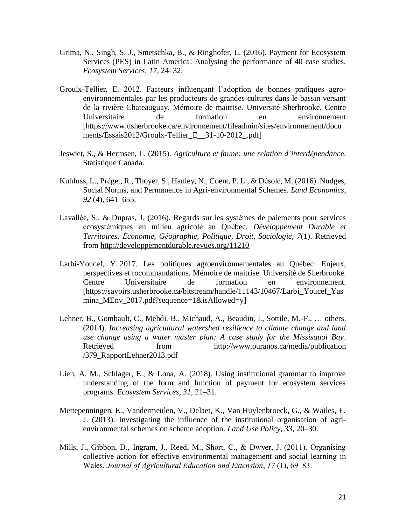- Grima, N., Singh, S. J., Smetschka, B., & Ringhofer, L. (2016). Payment for Ecosystem Services (PES) in Latin America: Analysing the performance of 40 case studies. *Ecosystem Services*, *17*, 24–32.
- Groulx-Tellier, E. 2012. Facteurs influençant l'adoption de bonnes pratiques agroenvironnementales par les producteurs de grandes cultures dans le bassin versant de la rivière Chateauguay. Mémoire de maitrise. Université Sherbrooke. Centre Universitaire de formation en environnement [https://www.usherbrooke.ca/environnement/fileadmin/sites/environnement/docu ments/Essais2012/Groulx-Tellier\_E\_\_31-10-2012\_.pdf]
- Jeswiet, S., & Hermsen, L. (2015). *Agriculture et faune: une relation d'interdépendance*. Statistique Canada.
- Kuhfuss, L., Préget, R., Thoyer, S., Hanley, N., Coent, P. L., & Désolé, M. (2016). Nudges, Social Norms, and Permanence in Agri-environmental Schemes. *Land Economics*, *92* (4), 641–655.
- Lavallée, S., & Dupras, J. (2016). Regards sur les systèmes de paiements pour services écosystémiques en milieu agricole au Québec. *Développement Durable et Territoires. Économie, Géographie, Politique, Droit, Sociologie*, *7*(1). Retrieved from<http://developpementdurable.revues.org/11210>
- Larbi-Youcef, Y. 2017. Les politiques agroenvironnementales au Québec: Enjeux, perspectives et rocommandations*.* Mémoire de maitrise. Université de Sherbrooke. Centre Universitaire de formation en environnement. [\[https://savoirs.usherbrooke.ca/bitstream/handle/11143/10467/Larbi\\_Youcef\\_Yas](https://savoirs.usherbrooke.ca/bitstream/handle/11143/10467/Larbi_Youcef_Yasmina_MEnv_2017.pdf?sequence=1&isAllowed=y) mina MEnv 2017.pdf?sequence=1&isAllowed=y]
- Lehner, B., Gombault, C., Mehdi, B., Michaud, A., Beaudin, I., Sottile, M.-F., … others. (2014). *Increasing agricultural watershed resilience to climate change and land use change using a water master plan: A case study for the Missisquoi Bay*. Retrieved from http://www.ouranos.ca/media/publication [/379\\_RapportLehner2013.pdf](http://www.ouranos.ca/media/publication%20/379_RapportLehner2013.pdf)
- Lien, A. M., Schlager, E., & Lona, A. (2018). Using institutional grammar to improve understanding of the form and function of payment for ecosystem services programs. *Ecosystem Services*, *31*, 21–31.
- Mettepenningen, E., Vandermeulen, V., Delaet, K., Van Huylenbroeck, G., & Wailes, E. J. (2013). Investigating the influence of the institutional organisation of agrienvironmental schemes on scheme adoption. *Land Use Policy*, *33*, 20–30.
- Mills, J., Gibbon, D., Ingram, J., Reed, M., Short, C., & Dwyer, J. (2011). Organising collective action for effective environmental management and social learning in Wales. *Journal of Agricultural Education and Extension*, *17* (1), 69–83.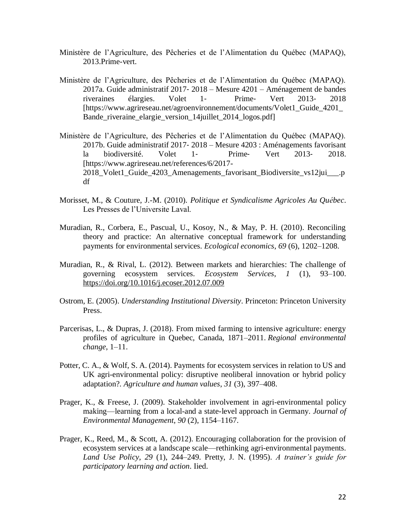- Ministère de l'Agriculture, des Pêcheries et de l'Alimentation du Québec (MAPAQ), 2013.Prime-vert.
- Ministère de l'Agriculture, des Pêcheries et de l'Alimentation du Québec (MAPAQ). 2017a. Guide administratif 2017‐ 2018 – Mesure 4201 – Aménagement de bandes riveraines élargies. Volet 1‐ Prime‐ Vert 2013‐ 2018 [https://www.agrireseau.net/agroenvironnement/documents/Volet1\_Guide\_4201\_ Bande\_riveraine\_elargie\_version\_14juillet\_2014\_logos.pdf]
- Ministère de l'Agriculture, des Pêcheries et de l'Alimentation du Québec (MAPAQ). 2017b. Guide administratif 2017‐ 2018 – Mesure 4203 : Aménagements favorisant la biodiversité. Volet 1‐ Prime‐ Vert 2013‐ 2018. [https://www.agrireseau.net/references/6/2017- 2018\_Volet1\_Guide\_4203\_Amenagements\_favorisant\_Biodiversite\_vs12jui\_\_\_.p df
- Morisset, M., & Couture, J.-M. (2010). *Politique et Syndicalisme Agricoles Au Québec*. Les Presses de l'Universite Laval.
- Muradian, R., Corbera, E., Pascual, U., Kosoy, N., & May, P. H. (2010). Reconciling theory and practice: An alternative conceptual framework for understanding payments for environmental services. *Ecological economics*, *69* (6), 1202–1208.
- Muradian, R., & Rival, L. (2012). Between markets and hierarchies: The challenge of governing ecosystem services. *Ecosystem Services*, *1* (1), 93–100. <https://doi.org/10.1016/j.ecoser.2012.07.009>
- Ostrom, E. (2005). *Understanding Institutional Diversity*. Princeton: Princeton University Press.
- Parcerisas, L., & Dupras, J. (2018). From mixed farming to intensive agriculture: energy profiles of agriculture in Quebec, Canada, 1871–2011. *Regional environmental change*, 1–11.
- Potter, C. A., & Wolf, S. A. (2014). Payments for ecosystem services in relation to US and UK agri-environmental policy: disruptive neoliberal innovation or hybrid policy adaptation?. *Agriculture and human values*, *31* (3), 397–408.
- Prager, K., & Freese, J. (2009). Stakeholder involvement in agri-environmental policy making—learning from a local-and a state-level approach in Germany. *Journal of Environmental Management*, *90* (2), 1154–1167.
- Prager, K., Reed, M., & Scott, A. (2012). Encouraging collaboration for the provision of ecosystem services at a landscape scale—rethinking agri-environmental payments. *Land Use Policy*, *29* (1), 244–249. Pretty, J. N. (1995). *A trainer's guide for participatory learning and action*. Iied.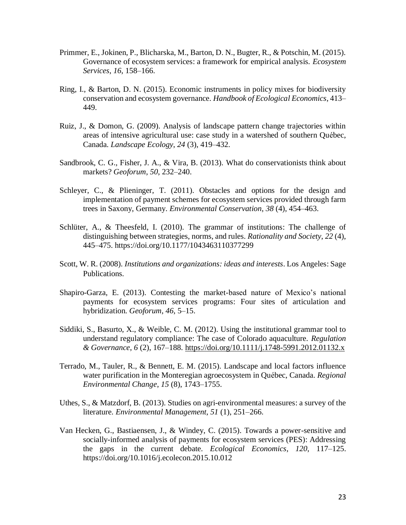- Primmer, E., Jokinen, P., Blicharska, M., Barton, D. N., Bugter, R., & Potschin, M. (2015). Governance of ecosystem services: a framework for empirical analysis. *Ecosystem Services*, *16*, 158–166.
- Ring, I., & Barton, D. N. (2015). Economic instruments in policy mixes for biodiversity conservation and ecosystem governance. *Handbook of Ecological Economics*, 413– 449.
- Ruiz, J., & Domon, G. (2009). Analysis of landscape pattern change trajectories within areas of intensive agricultural use: case study in a watershed of southern Québec, Canada. *Landscape Ecology*, *24* (3), 419–432.
- Sandbrook, C. G., Fisher, J. A., & Vira, B. (2013). What do conservationists think about markets? *Geoforum*, *50*, 232–240.
- Schleyer, C., & Plieninger, T. (2011). Obstacles and options for the design and implementation of payment schemes for ecosystem services provided through farm trees in Saxony, Germany. *Environmental Conservation*, *38* (4), 454–463.
- Schlüter, A., & Theesfeld, I. (2010). The grammar of institutions: The challenge of distinguishing between strategies, norms, and rules. *Rationality and Society*, *22* (4), 445–475. https://doi.org/10.1177/1043463110377299
- Scott, W. R. (2008). *Institutions and organizations: ideas and interests*. Los Angeles: Sage Publications.
- Shapiro-Garza, E. (2013). Contesting the market-based nature of Mexico's national payments for ecosystem services programs: Four sites of articulation and hybridization. *Geoforum*, *46*, 5–15.
- Siddiki, S., Basurto, X., & Weible, C. M. (2012). Using the institutional grammar tool to understand regulatory compliance: The case of Colorado aquaculture. *Regulation & Governance*, *6* (2), 167–188.<https://doi.org/10.1111/j.1748-5991.2012.01132.x>
- Terrado, M., Tauler, R., & Bennett, E. M. (2015). Landscape and local factors influence water purification in the Monteregian agroecosystem in Québec, Canada. *Regional Environmental Change*, *15* (8), 1743–1755.
- Uthes, S., & Matzdorf, B. (2013). Studies on agri-environmental measures: a survey of the literature. *Environmental Management*, *51* (1), 251–266.
- Van Hecken, G., Bastiaensen, J., & Windey, C. (2015). Towards a power-sensitive and socially-informed analysis of payments for ecosystem services (PES): Addressing the gaps in the current debate. *Ecological Economics*, *120*, 117–125. https://doi.org/10.1016/j.ecolecon.2015.10.012